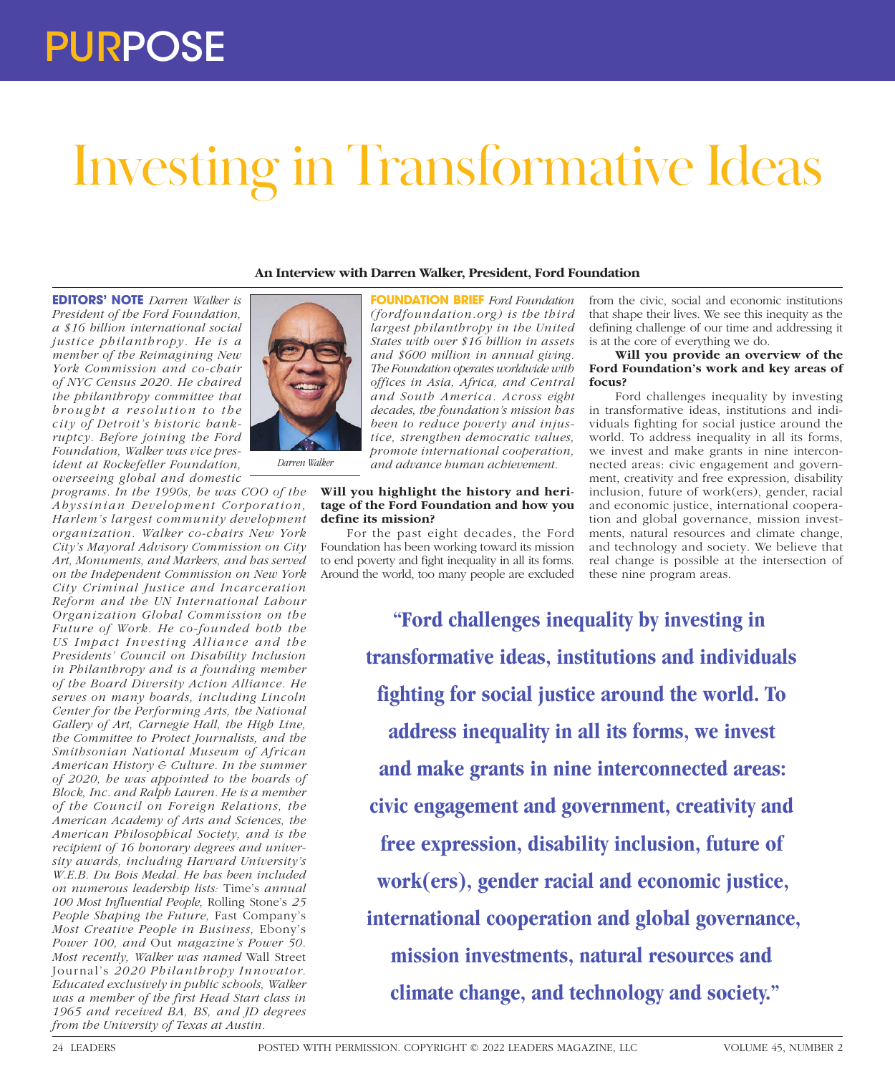# Investing in Transformative Ideas

**An Interview with Darren Walker, President, Ford Foundation**

**EDITORS' NOTE** *Darren Walker is President of the Ford Foundation, a \$16 billion international social justice philanthropy. He is a member of the Reimagining New York Commission and co-chair of NYC Census 2020. He chaired the philanthropy committee that brought a resolution to the city of Detroit's historic bankruptcy. Before joining the Ford Foundation, Walker was vice president at Rockefeller Foundation, overseeing global and domestic* 

*programs. In the 1990s, he was COO of the Abyssinian Development Corporation, Harlem's largest community development organization. Walker co-chairs New York City's Mayoral Advisory Commission on City Art, Monuments, and Markers, and has served on the Independent Commission on New York City Criminal Justice and Incarceration Reform and the UN International Labour Organization Global Commission on the Future of Work. He co-founded both the US Impact Investing Alliance and the Presidents' Council on Disability Inclusion in Philanthropy and is a founding member of the Board Diversity Action Alliance. He serves on many boards, including Lincoln Center for the Performing Arts, the National Gallery of Art, Carnegie Hall, the High Line, the Committee to Protect Journalists, and the Smithsonian National Museum of African American History & Culture. In the summer of 2020, he was appointed to the boards of Block, Inc. and Ralph Lauren. He is a member of the Council on Foreign Relations, the American Academy of Arts and Sciences, the American Philosophical Society, and is the recipient of 16 honorary degrees and university awards, including Harvard University's W.E.B. Du Bois Medal. He has been included on numerous leadership lists:* Time's *annual 100 Most Influential People,* Rolling Stone's *25 People Shaping the Future,* Fast Company's *Most Creative People in Business,* Ebony's *Power 100, and* Out *magazine's Power 50. Most recently, Walker was named* Wall Street Journal's *2020 Philanthropy Innovator. Educated exclusively in public schools, Walker was a member of the first Head Start class in 1965 and received BA, BS, and JD degrees from the University of Texas at Austin.* 



*Darren Walker*

**FOUNDATION BRIEF** *Ford Foundation (fordfoundation.org) is the third largest philanthropy in the United States with over \$16 billion in assets and \$600 million in annual giving. The Foundation operates worldwide with offices in Asia, Africa, and Central and South America. Across eight decades, the foundation's mission has been to reduce poverty and injustice, strengthen democratic values, promote international cooperation, and advance human achievement.*

# **Will you highlight the history and heritage of the Ford Foundation and how you define its mission?**

For the past eight decades, the Ford Foundation has been working toward its mission to end poverty and fight inequality in all its forms. Around the world, too many people are excluded

from the civic, social and economic institutions that shape their lives. We see this inequity as the defining challenge of our time and addressing it is at the core of everything we do.

# **Will you provide an overview of the Ford Foundation's work and key areas of focus?**

Ford challenges inequality by investing in transformative ideas, institutions and individuals fighting for social justice around the world. To address inequality in all its forms, we invest and make grants in nine interconnected areas: civic engagement and government, creativity and free expression, disability inclusion, future of work(ers), gender, racial and economic justice, international cooperation and global governance, mission investments, natural resources and climate change, and technology and society. We believe that real change is possible at the intersection of these nine program areas.

**"Ford challenges inequality by investing in transformative ideas, institutions and individuals fighting for social justice around the world. To address inequality in all its forms, we invest and make grants in nine interconnected areas: civic engagement and government, creativity and free expression, disability inclusion, future of work(ers), gender racial and economic justice, international cooperation and global governance, mission investments, natural resources and climate change, and technology and society."**